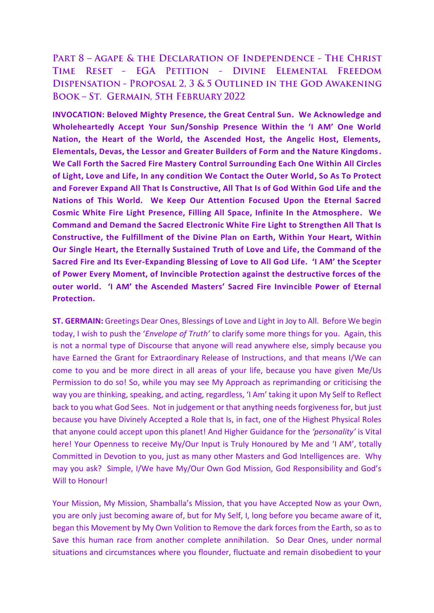PART 8 - AGAPE & THE DECLARATION OF INDEPENDENCE - THE CHRIST RESET - EGA PETITION - DIVINE ELEMENTAL FREEDOM **TIME** DISPENSATION - PROPOSAL 2, 3 & 5 OUTLINED IN THE GOD AWAKENING **BOOK-ST. GERMAIN, STH FEBRUARY 2022** 

**INVOCATION: Beloved Mighty Presence, the Great Central Sun. We Acknowledge and Wholeheartedly Accept Your Sun/Sonship Presence Within the 'I AM' One World Nation, the Heart of the World, the Ascended Host, the Angelic Host, Elements, Elementals, Devas, the Lessor and Greater Builders of Form and the Nature Kingdoms. We Call Forth the Sacred Fire Mastery Control Surrounding Each One Within All Circles of Light, Love and Life, In any condition We Contact the Outer World, So As To Protect and Forever Expand All That Is Constructive, All That Is of God Within God Life and the Nations of This World. We Keep Our Attention Focused Upon the Eternal Sacred Cosmic White Fire Light Presence, Filling All Space, Infinite In the Atmosphere. We Command and Demand the Sacred Electronic White Fire Light to Strengthen All That Is Constructive, the Fulfillment of the Divine Plan on Earth, Within Your Heart, Within Our Single Heart, the Eternally Sustained Truth of Love and Life, the Command of the Sacred Fire and Its Ever-Expanding Blessing of Love to All God Life. 'I AM' the Scepter of Power Every Moment, of Invincible Protection against the destructive forces of the outer world. 'I AM' the Ascended Masters' Sacred Fire Invincible Power of Eternal Protection.**

**ST. GERMAIN:** Greetings Dear Ones, Blessings of Love and Light in Joy to All. Before We begin today, I wish to push the '*Envelope of Truth'* to clarify some more things for you. Again, this is not a normal type of Discourse that anyone will read anywhere else, simply because you have Earned the Grant for Extraordinary Release of Instructions, and that means I/We can come to you and be more direct in all areas of your life, because you have given Me/Us Permission to do so! So, while you may see My Approach as reprimanding or criticising the way you are thinking, speaking, and acting, regardless, 'I Am' taking it upon My Self to Reflect back to you what God Sees. Not in judgement or that anything needs forgiveness for, but just because you have Divinely Accepted a Role that Is, in fact, one of the Highest Physical Roles that anyone could accept upon this planet! And Higher Guidance for the *'personality'* is Vital here! Your Openness to receive My/Our Input is Truly Honoured by Me and 'I AM', totally Committed in Devotion to you, just as many other Masters and God Intelligences are. Why may you ask? Simple, I/We have My/Our Own God Mission, God Responsibility and God's Will to Honour!

Your Mission, My Mission, Shamballa's Mission, that you have Accepted Now as your Own, you are only just becoming aware of, but for My Self, I, long before you became aware of it, began this Movement by My Own Volition to Remove the dark forces from the Earth, so as to Save this human race from another complete annihilation. So Dear Ones, under normal situations and circumstances where you flounder, fluctuate and remain disobedient to your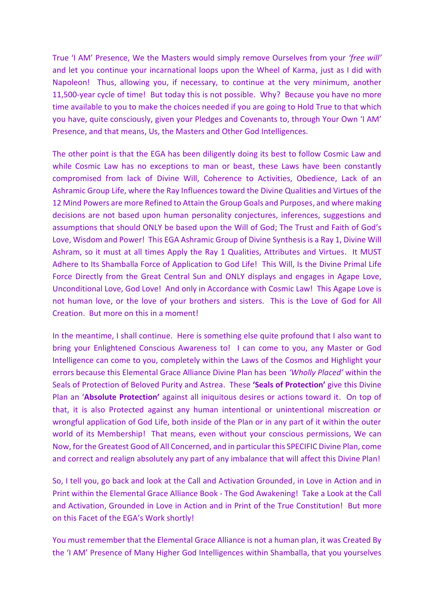True 'I AM' Presence, We the Masters would simply remove Ourselves from your *'free will'* and let you continue your incarnational loops upon the Wheel of Karma, just as I did with Napoleon! Thus, allowing you, if necessary, to continue at the very minimum, another 11,500-year cycle of time! But today this is not possible. Why? Because you have no more time available to you to make the choices needed if you are going to Hold True to that which you have, quite consciously, given your Pledges and Covenants to, through Your Own 'I AM' Presence, and that means, Us, the Masters and Other God Intelligences.

The other point is that the EGA has been diligently doing its best to follow Cosmic Law and while Cosmic Law has no exceptions to man or beast, these Laws have been constantly compromised from lack of Divine Will, Coherence to Activities, Obedience, Lack of an Ashramic Group Life, where the Ray Influences toward the Divine Qualities and Virtues of the 12 Mind Powers are more Refined to Attain the Group Goals and Purposes, and where making decisions are not based upon human personality conjectures, inferences, suggestions and assumptions that should ONLY be based upon the Will of God; The Trust and Faith of God's Love, Wisdom and Power! This EGA Ashramic Group of Divine Synthesis is a Ray 1, Divine Will Ashram, so it must at all times Apply the Ray 1 Qualities, Attributes and Virtues. It MUST Adhere to Its Shamballa Force of Application to God Life! This Will, Is the Divine Primal Life Force Directly from the Great Central Sun and ONLY displays and engages in Agape Love, Unconditional Love, God Love! And only in Accordance with Cosmic Law! This Agape Love is not human love, or the love of your brothers and sisters. This is the Love of God for All Creation. But more on this in a moment!

In the meantime, I shall continue. Here is something else quite profound that I also want to bring your Enlightened Conscious Awareness to! I can come to you, any Master or God Intelligence can come to you, completely within the Laws of the Cosmos and Highlight your errors because this Elemental Grace Alliance Divine Plan has been *'Wholly Placed'* within the Seals of Protection of Beloved Purity and Astrea. These **'Seals of Protection'** give this Divine Plan an '**Absolute Protection'** against all iniquitous desires or actions toward it. On top of that, it is also Protected against any human intentional or unintentional miscreation or wrongful application of God Life, both inside of the Plan or in any part of it within the outer world of its Membership! That means, even without your conscious permissions, We can Now, for the Greatest Good of All Concerned, and in particular this SPECIFIC Divine Plan, come and correct and realign absolutely any part of any imbalance that will affect this Divine Plan!

So, I tell you, go back and look at the Call and Activation Grounded, in Love in Action and in Print within the Elemental Grace Alliance Book - The God Awakening! Take a Look at the Call and Activation, Grounded in Love in Action and in Print of the True Constitution! But more on this Facet of the EGA's Work shortly!

You must remember that the Elemental Grace Alliance is not a human plan, it was Created By the 'I AM' Presence of Many Higher God Intelligences within Shamballa, that you yourselves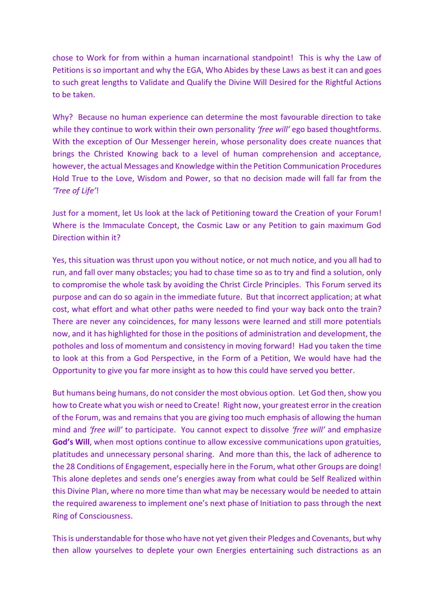chose to Work for from within a human incarnational standpoint! This is why the Law of Petitions is so important and why the EGA, Who Abides by these Laws as best it can and goes to such great lengths to Validate and Qualify the Divine Will Desired for the Rightful Actions to be taken.

Why? Because no human experience can determine the most favourable direction to take while they continue to work within their own personality *'free will'* ego based thoughtforms. With the exception of Our Messenger herein, whose personality does create nuances that brings the Christed Knowing back to a level of human comprehension and acceptance, however, the actual Messages and Knowledge within the Petition Communication Procedures Hold True to the Love, Wisdom and Power, so that no decision made will fall far from the *'Tree of Life'*!

Just for a moment, let Us look at the lack of Petitioning toward the Creation of your Forum! Where is the Immaculate Concept, the Cosmic Law or any Petition to gain maximum God Direction within it?

Yes, this situation was thrust upon you without notice, or not much notice, and you all had to run, and fall over many obstacles; you had to chase time so as to try and find a solution, only to compromise the whole task by avoiding the Christ Circle Principles. This Forum served its purpose and can do so again in the immediate future. But that incorrect application; at what cost, what effort and what other paths were needed to find your way back onto the train? There are never any coincidences, for many lessons were learned and still more potentials now, and it has highlighted for those in the positions of administration and development, the potholes and loss of momentum and consistency in moving forward! Had you taken the time to look at this from a God Perspective, in the Form of a Petition, We would have had the Opportunity to give you far more insight as to how this could have served you better.

But humans being humans, do not consider the most obvious option. Let God then, show you how to Create what you wish or need to Create! Right now, your greatest error in the creation of the Forum, was and remains that you are giving too much emphasis of allowing the human mind and *'free will'* to participate. You cannot expect to dissolve *'free will'* and emphasize **God's Will**, when most options continue to allow excessive communications upon gratuities, platitudes and unnecessary personal sharing. And more than this, the lack of adherence to the 28 Conditions of Engagement, especially here in the Forum, what other Groups are doing! This alone depletes and sends one's energies away from what could be Self Realized within this Divine Plan, where no more time than what may be necessary would be needed to attain the required awareness to implement one's next phase of Initiation to pass through the next Ring of Consciousness.

This is understandable for those who have not yet given their Pledges and Covenants, but why then allow yourselves to deplete your own Energies entertaining such distractions as an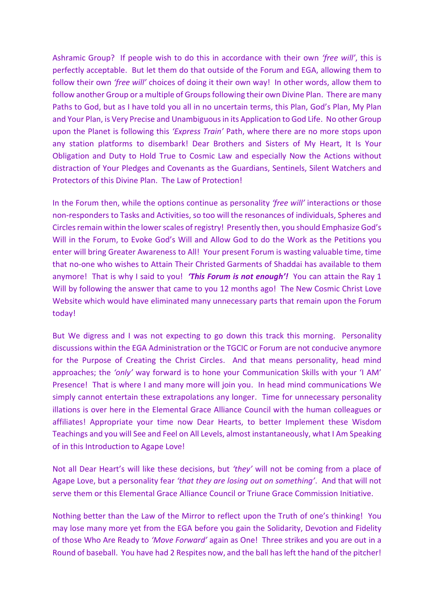Ashramic Group? If people wish to do this in accordance with their own *'free will'*, this is perfectly acceptable. But let them do that outside of the Forum and EGA, allowing them to follow their own *'free will'* choices of doing it their own way! In other words, allow them to follow another Group or a multiple of Groups following their own Divine Plan. There are many Paths to God, but as I have told you all in no uncertain terms, this Plan, God's Plan, My Plan and Your Plan, is Very Precise and Unambiguous in its Application to God Life. No other Group upon the Planet is following this *'Express Train'* Path, where there are no more stops upon any station platforms to disembark! Dear Brothers and Sisters of My Heart, It Is Your Obligation and Duty to Hold True to Cosmic Law and especially Now the Actions without distraction of Your Pledges and Covenants as the Guardians, Sentinels, Silent Watchers and Protectors of this Divine Plan. The Law of Protection!

In the Forum then, while the options continue as personality *'free will'* interactions or those non-responders to Tasks and Activities, so too will the resonances of individuals, Spheres and Circles remain within the lower scales of registry! Presently then, you should Emphasize God's Will in the Forum, to Evoke God's Will and Allow God to do the Work as the Petitions you enter will bring Greater Awareness to All! Your present Forum is wasting valuable time, time that no-one who wishes to Attain Their Christed Garments of Shaddai has available to them anymore! That is why I said to you! *'This Forum is not enough'!* You can attain the Ray 1 Will by following the answer that came to you 12 months ago! The New Cosmic Christ Love Website which would have eliminated many unnecessary parts that remain upon the Forum today!

But We digress and I was not expecting to go down this track this morning. Personality discussions within the EGA Administration or the TGCIC or Forum are not conducive anymore for the Purpose of Creating the Christ Circles. And that means personality, head mind approaches; the *'only'* way forward is to hone your Communication Skills with your 'I AM' Presence! That is where I and many more will join you. In head mind communications We simply cannot entertain these extrapolations any longer. Time for unnecessary personality illations is over here in the Elemental Grace Alliance Council with the human colleagues or affiliates! Appropriate your time now Dear Hearts, to better Implement these Wisdom Teachings and you will See and Feel on All Levels, almost instantaneously, what I Am Speaking of in this Introduction to Agape Love!

Not all Dear Heart's will like these decisions, but *'they'* will not be coming from a place of Agape Love, but a personality fear *'that they are losing out on something'*. And that will not serve them or this Elemental Grace Alliance Council or Triune Grace Commission Initiative.

Nothing better than the Law of the Mirror to reflect upon the Truth of one's thinking! You may lose many more yet from the EGA before you gain the Solidarity, Devotion and Fidelity of those Who Are Ready to *'Move Forward'* again as One! Three strikes and you are out in a Round of baseball. You have had 2 Respites now, and the ball has left the hand of the pitcher!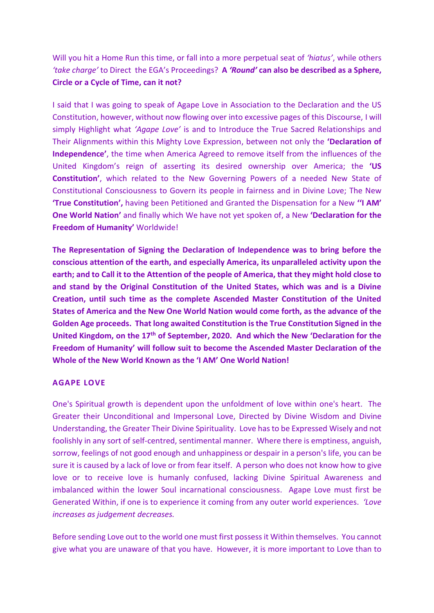Will you hit a Home Run this time, or fall into a more perpetual seat of *'hiatus'*, while others *'take charge'* to Direct the EGA's Proceedings? **A** *'Round'* **can also be described as a Sphere, Circle or a Cycle of Time, can it not?**

I said that I was going to speak of Agape Love in Association to the Declaration and the US Constitution, however, without now flowing over into excessive pages of this Discourse, I will simply Highlight what *'Agape Love'* is and to Introduce the True Sacred Relationships and Their Alignments within this Mighty Love Expression, between not only the **'Declaration of Independence'**, the time when America Agreed to remove itself from the influences of the United Kingdom's reign of asserting its desired ownership over America; the **'US Constitution'**, which related to the New Governing Powers of a needed New State of Constitutional Consciousness to Govern its people in fairness and in Divine Love; The New **'True Constitution',** having been Petitioned and Granted the Dispensation for a New **''I AM' One World Nation'** and finally which We have not yet spoken of, a New **'Declaration for the Freedom of Humanity'** Worldwide!

**The Representation of Signing the Declaration of Independence was to bring before the conscious attention of the earth, and especially America, its unparalleled activity upon the earth; and to Call it to the Attention of the people of America, that they might hold close to and stand by the Original Constitution of the United States, which was and is a Divine Creation, until such time as the complete Ascended Master Constitution of the United States of America and the New One World Nation would come forth, as the advance of the Golden Age proceeds. That long awaited Constitution is the True Constitution Signed in the United Kingdom, on the 17th of September, 2020. And which the New 'Declaration for the Freedom of Humanity' will follow suit to become the Ascended Master Declaration of the Whole of the New World Known as the 'I AM' One World Nation!**

## **AGAPE LOVE**

One's Spiritual growth is dependent upon the unfoldment of love within one's heart. The Greater their Unconditional and Impersonal Love, Directed by Divine Wisdom and Divine Understanding, the Greater Their Divine Spirituality. Love has to be Expressed Wisely and not foolishly in any sort of self-centred, sentimental manner. Where there is emptiness, anguish, sorrow, feelings of not good enough and unhappiness or despair in a person's life, you can be sure it is caused by a lack of love or from fear itself. A person who does not know how to give love or to receive love is humanly confused, lacking Divine Spiritual Awareness and imbalanced within the lower Soul incarnational consciousness. Agape Love must first be Generated Within, if one is to experience it coming from any outer world experiences. *'Love increases as judgement decreases.* 

Before sending Love out to the world one must first possess it Within themselves. You cannot give what you are unaware of that you have. However, it is more important to Love than to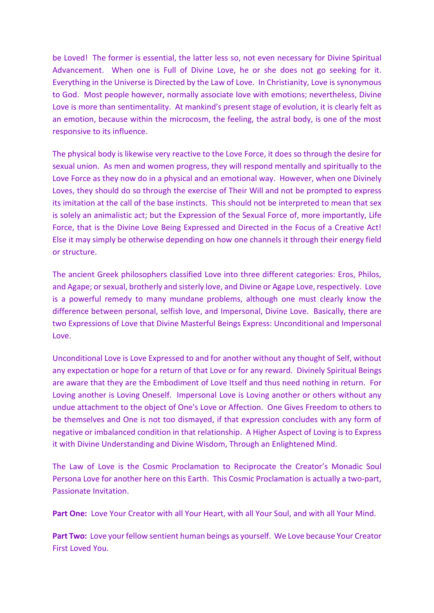be Loved! The former is essential, the latter less so, not even necessary for Divine Spiritual Advancement. When one is Full of Divine Love, he or she does not go seeking for it. Everything in the Universe is Directed by the Law of Love. In Christianity, Love is synonymous to God. Most people however, normally associate love with emotions; nevertheless, Divine Love is more than sentimentality. At mankind's present stage of evolution, it is clearly felt as an emotion, because within the microcosm, the feeling, the astral body, is one of the most responsive to its influence.

The physical body is likewise very reactive to the Love Force, it does so through the desire for sexual union. As men and women progress, they will respond mentally and spiritually to the Love Force as they now do in a physical and an emotional way. However, when one Divinely Loves, they should do so through the exercise of Their Will and not be prompted to express its imitation at the call of the base instincts. This should not be interpreted to mean that sex is solely an animalistic act; but the Expression of the Sexual Force of, more importantly, Life Force, that is the Divine Love Being Expressed and Directed in the Focus of a Creative Act! Else it may simply be otherwise depending on how one channels it through their energy field or structure.

The ancient Greek philosophers classified Love into three different categories: Eros, Philos, and Agape; or sexual, brotherly and sisterly love, and Divine or Agape Love, respectively. Love is a powerful remedy to many mundane problems, although one must clearly know the difference between personal, selfish love, and Impersonal, Divine Love. Basically, there are two Expressions of Love that Divine Masterful Beings Express: Unconditional and Impersonal Love.

Unconditional Love is Love Expressed to and for another without any thought of Self, without any expectation or hope for a return of that Love or for any reward. Divinely Spiritual Beings are aware that they are the Embodiment of Love Itself and thus need nothing in return. For Loving another is Loving Oneself. Impersonal Love is Loving another or others without any undue attachment to the object of One's Love or Affection. One Gives Freedom to others to be themselves and One is not too dismayed, if that expression concludes with any form of negative or imbalanced condition in that relationship. A Higher Aspect of Loving is to Express it with Divine Understanding and Divine Wisdom, Through an Enlightened Mind.

The Law of Love is the Cosmic Proclamation to Reciprocate the Creator's Monadic Soul Persona Love for another here on this Earth. This Cosmic Proclamation is actually a two-part, Passionate Invitation.

**Part One:** Love Your Creator with all Your Heart, with all Your Soul, and with all Your Mind.

**Part Two:** Love your fellow sentient human beings as yourself. We Love because Your Creator First Loved You.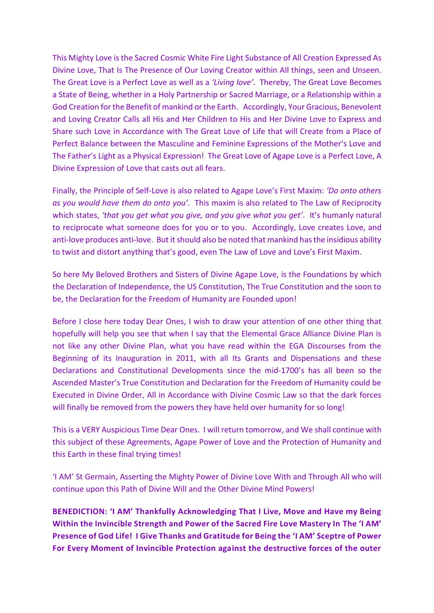This Mighty Love is the Sacred Cosmic White Fire Light Substance of All Creation Expressed As Divine Love, That Is The Presence of Our Loving Creator within All things, seen and Unseen. The Great Love is a Perfect Love as well as a *'Living love'*. Thereby, The Great Love Becomes a State of Being, whether in a Holy Partnership or Sacred Marriage, or a Relationship within a God Creation for the Benefit of mankind or the Earth. Accordingly, Your Gracious, Benevolent and Loving Creator Calls all His and Her Children to His and Her Divine Love to Express and Share such Love in Accordance with The Great Love of Life that will Create from a Place of Perfect Balance between the Masculine and Feminine Expressions of the Mother's Love and The Father's Light as a Physical Expression! The Great Love of Agape Love is a Perfect Love, A Divine Expression of Love that casts out all fears.

Finally, the Principle of Self-Love is also related to Agape Love's First Maxim: *'Do onto others as you would have them do onto you'*. This maxim is also related to The Law of Reciprocity which states, *'that you get what you give, and you give what you get'*. It's humanly natural to reciprocate what someone does for you or to you. Accordingly, Love creates Love, and anti-love produces anti-love. But it should also be noted that mankind has the insidious ability to twist and distort anything that's good, even The Law of Love and Love's First Maxim.

So here My Beloved Brothers and Sisters of Divine Agape Love, is the Foundations by which the Declaration of Independence, the US Constitution, The True Constitution and the soon to be, the Declaration for the Freedom of Humanity are Founded upon!

Before I close here today Dear Ones, I wish to draw your attention of one other thing that hopefully will help you see that when I say that the Elemental Grace Alliance Divine Plan is not like any other Divine Plan, what you have read within the EGA Discourses from the Beginning of its Inauguration in 2011, with all Its Grants and Dispensations and these Declarations and Constitutional Developments since the mid-1700's has all been so the Ascended Master's True Constitution and Declaration for the Freedom of Humanity could be Executed in Divine Order, All in Accordance with Divine Cosmic Law so that the dark forces will finally be removed from the powers they have held over humanity for so long!

This is a VERY Auspicious Time Dear Ones. I will return tomorrow, and We shall continue with this subject of these Agreements, Agape Power of Love and the Protection of Humanity and this Earth in these final trying times!

'I AM' St Germain, Asserting the Mighty Power of Divine Love With and Through All who will continue upon this Path of Divine Will and the Other Divine Mind Powers!

**BENEDICTION: 'I AM' Thankfully Acknowledging That I Live, Move and Have my Being Within the Invincible Strength and Power of the Sacred Fire Love Mastery In The 'I AM' Presence of God Life! I Give Thanks and Gratitude for Being the 'I AM' Sceptre of Power For Every Moment of Invincible Protection against the destructive forces of the outer**